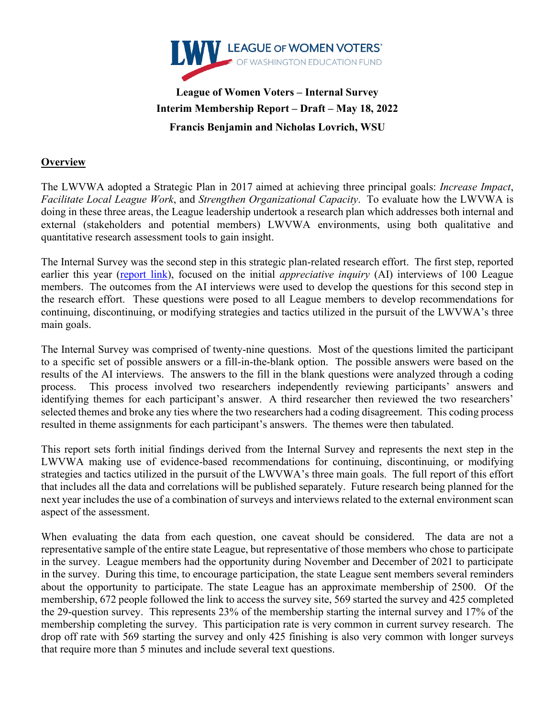

# **League of Women Voters – Internal Survey Interim Membership Report – Draft – May 18, 2022 Francis Benjamin and Nicholas Lovrich, WSU**

#### **Overview**

The LWVWA adopted a Strategic Plan in 2017 aimed at achieving three principal goals: *Increase Impact*, *Facilitate Local League Work*, and *Strengthen Organizational Capacity*. To evaluate how the LWVWA is doing in these three areas, the League leadership undertook a research plan which addresses both internal and external (stakeholders and potential members) LWVWA environments, using both qualitative and quantitative research assessment tools to gain insight.

The Internal Survey was the second step in this strategic plan-related research effort. The first step, reported earlier this year (report link), focused on the initial *appreciative inquiry* (AI) interviews of 100 League members. The outcomes from the AI interviews were used to develop the questions for this second step in the research effort. These questions were posed to all League members to develop recommendations for continuing, discontinuing, or modifying strategies and tactics utilized in the pursuit of the LWVWA's three main goals.

The Internal Survey was comprised of twenty-nine questions. Most of the questions limited the participant to a specific set of possible answers or a fill-in-the-blank option. The possible answers were based on the results of the AI interviews. The answers to the fill in the blank questions were analyzed through a coding process. This process involved two researchers independently reviewing participants' answers and identifying themes for each participant's answer. A third researcher then reviewed the two researchers' selected themes and broke any ties where the two researchers had a coding disagreement. This coding process resulted in theme assignments for each participant's answers. The themes were then tabulated.

This report sets forth initial findings derived from the Internal Survey and represents the next step in the LWVWA making use of evidence-based recommendations for continuing, discontinuing, or modifying strategies and tactics utilized in the pursuit of the LWVWA's three main goals. The full report of this effort that includes all the data and correlations will be published separately. Future research being planned for the next year includes the use of a combination of surveys and interviews related to the external environment scan aspect of the assessment.

When evaluating the data from each question, one caveat should be considered. The data are not a representative sample of the entire state League, but representative of those members who chose to participate in the survey. League members had the opportunity during November and December of 2021 to participate in the survey. During this time, to encourage participation, the state League sent members several reminders about the opportunity to participate. The state League has an approximate membership of 2500. Of the membership, 672 people followed the link to access the survey site, 569 started the survey and 425 completed the 29-question survey. This represents 23% of the membership starting the internal survey and 17% of the membership completing the survey. This participation rate is very common in current survey research. The drop off rate with 569 starting the survey and only 425 finishing is also very common with longer surveys that require more than 5 minutes and include several text questions.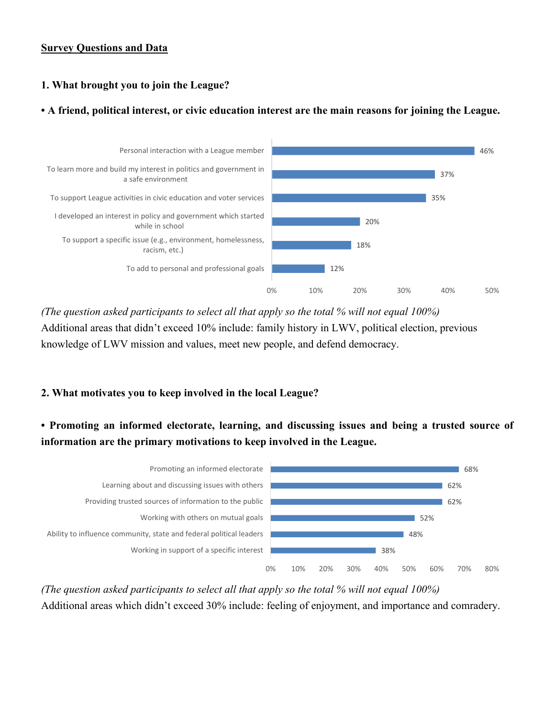#### **Survey Questions and Data**

## **1. What brought you to join the League?**

### **• A friend, political interest, or civic education interest are the main reasons for joining the League.**



*(The question asked participants to select all that apply so the total % will not equal 100%)* Additional areas that didn't exceed 10% include: family history in LWV, political election, previous knowledge of LWV mission and values, meet new people, and defend democracy.

## **2. What motivates you to keep involved in the local League?**

## **• Promoting an informed electorate, learning, and discussing issues and being a trusted source of information are the primary motivations to keep involved in the League.**



*(The question asked participants to select all that apply so the total % will not equal 100%)* Additional areas which didn't exceed 30% include: feeling of enjoyment, and importance and comradery.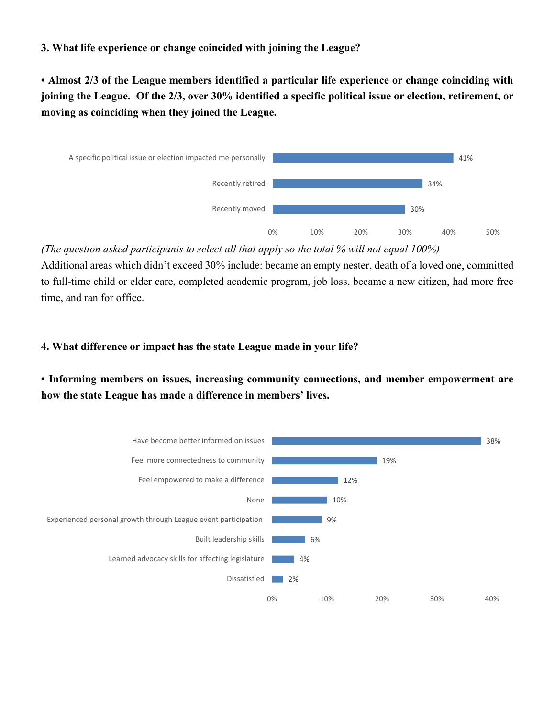#### **3. What life experience or change coincided with joining the League?**

**• Almost 2/3 of the League members identified a particular life experience or change coinciding with joining the League. Of the 2/3, over 30% identified a specific political issue or election, retirement, or moving as coinciding when they joined the League.**



*(The question asked participants to select all that apply so the total % will not equal 100%)*

Additional areas which didn't exceed 30% include: became an empty nester, death of a loved one, committed to full-time child or elder care, completed academic program, job loss, became a new citizen, had more free time, and ran for office.

### **4. What difference or impact has the state League made in your life?**

**• Informing members on issues, increasing community connections, and member empowerment are how the state League has made a difference in members' lives.**

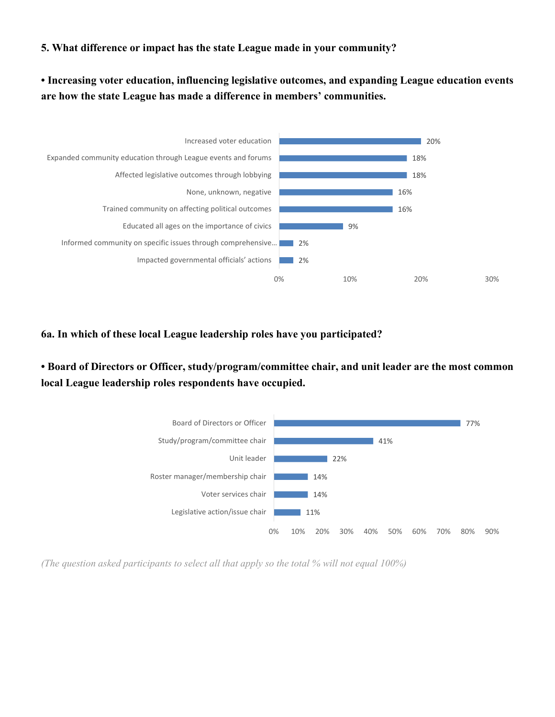#### **5. What difference or impact has the state League made in your community?**

**• Increasing voter education, influencing legislative outcomes, and expanding League education events are how the state League has made a difference in members' communities.**



**6a. In which of these local League leadership roles have you participated?** 

**• Board of Directors or Officer, study/program/committee chair, and unit leader are the most common local League leadership roles respondents have occupied.** 



*(The question asked participants to select all that apply so the total % will not equal 100%)*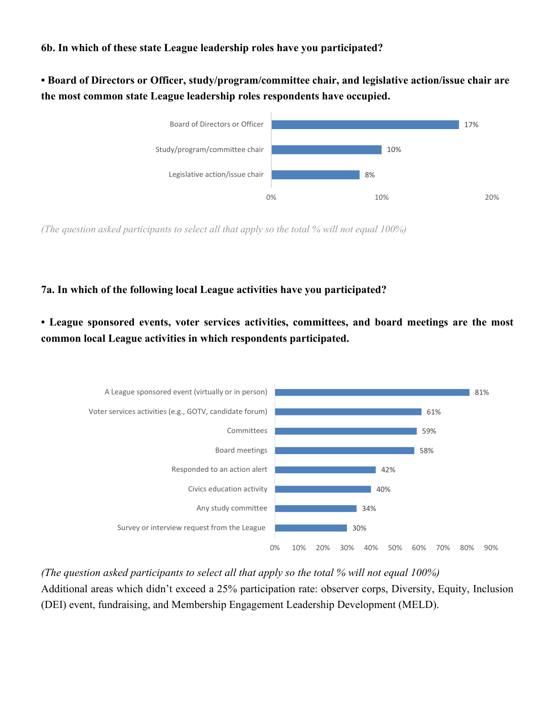#### **6b. In which of these state League leadership roles have you participated?**

**• Board of Directors or Officer, study/program/committee chair, and legislative action/issue chair are the most common state League leadership roles respondents have occupied.** 



*(The question asked participants to select all that apply so the total % will not equal 100%)*

#### **7a. In which of the following local League activities have you participated?**

**• League sponsored events, voter services activities, committees, and board meetings are the most common local League activities in which respondents participated.**



*(The question asked participants to select all that apply so the total % will not equal 100%)* Additional areas which didn't exceed a 25% participation rate: observer corps, Diversity, Equity, Inclusion (DEI) event, fundraising, and Membership Engagement Leadership Development (MELD).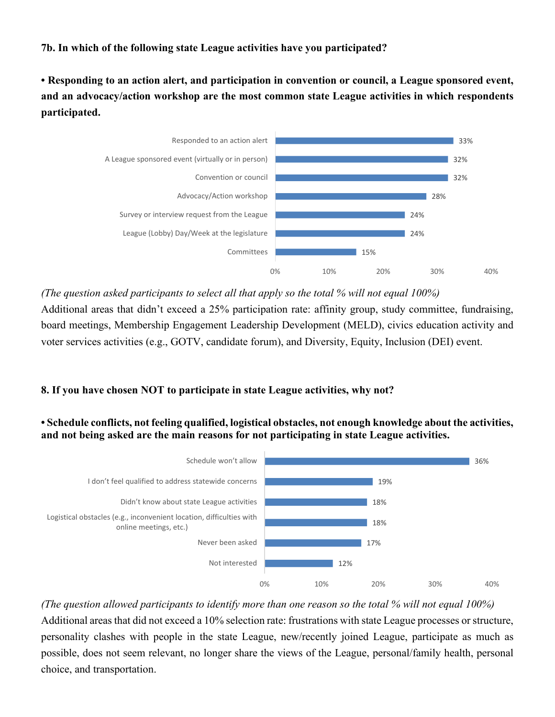## **7b. In which of the following state League activities have you participated?**

**• Responding to an action alert, and participation in convention or council, a League sponsored event, and an advocacy/action workshop are the most common state League activities in which respondents participated.**



*(The question asked participants to select all that apply so the total % will not equal 100%)* Additional areas that didn't exceed a 25% participation rate: affinity group, study committee, fundraising, board meetings, Membership Engagement Leadership Development (MELD), civics education activity and voter services activities (e.g., GOTV, candidate forum), and Diversity, Equity, Inclusion (DEI) event.

#### **8. If you have chosen NOT to participate in state League activities, why not?**

#### **• Schedule conflicts, not feeling qualified, logistical obstacles, not enough knowledge about the activities, and not being asked are the main reasons for not participating in state League activities.**



*(The question allowed participants to identify more than one reason so the total % will not equal 100%)* Additional areas that did not exceed a 10% selection rate: frustrations with state League processes or structure, personality clashes with people in the state League, new/recently joined League, participate as much as possible, does not seem relevant, no longer share the views of the League, personal/family health, personal choice, and transportation.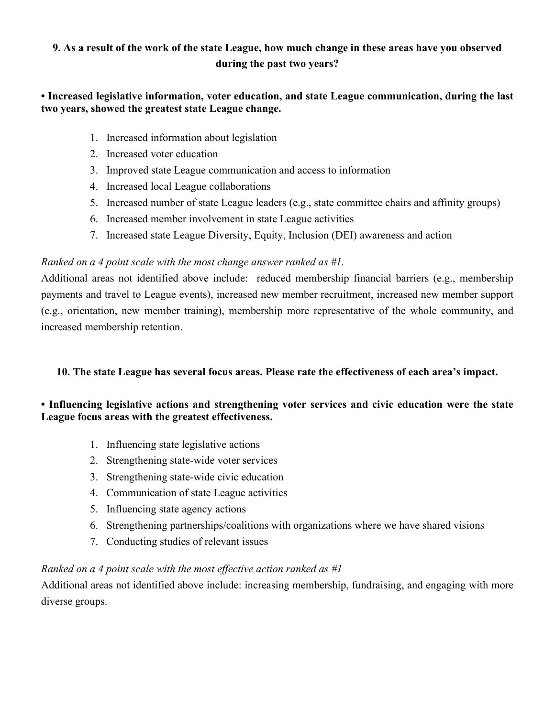## **9. As a result of the work of the state League, how much change in these areas have you observed during the past two years?**

### **• Increased legislative information, voter education, and state League communication, during the last two years, showed the greatest state League change.**

- 1. Increased information about legislation
- 2. Increased voter education
- 3. Improved state League communication and access to information
- 4. Increased local League collaborations
- 5. Increased number of state League leaders (e.g., state committee chairs and affinity groups)
- 6. Increased member involvement in state League activities
- 7. Increased state League Diversity, Equity, Inclusion (DEI) awareness and action

### *Ranked on a 4 point scale with the most change answer ranked as #1.*

Additional areas not identified above include: reduced membership financial barriers (e.g., membership payments and travel to League events), increased new member recruitment, increased new member support (e.g., orientation, new member training), membership more representative of the whole community, and increased membership retention.

#### **10. The state League has several focus areas. Please rate the effectiveness of each area's impact.**

### **• Influencing legislative actions and strengthening voter services and civic education were the state League focus areas with the greatest effectiveness.**

- 1. Influencing state legislative actions
- 2. Strengthening state-wide voter services
- 3. Strengthening state-wide civic education
- 4. Communication of state League activities
- 5. Influencing state agency actions
- 6. Strengthening partnerships/coalitions with organizations where we have shared visions
- 7. Conducting studies of relevant issues

#### *Ranked on a 4 point scale with the most effective action ranked as #1*

Additional areas not identified above include: increasing membership, fundraising, and engaging with more diverse groups.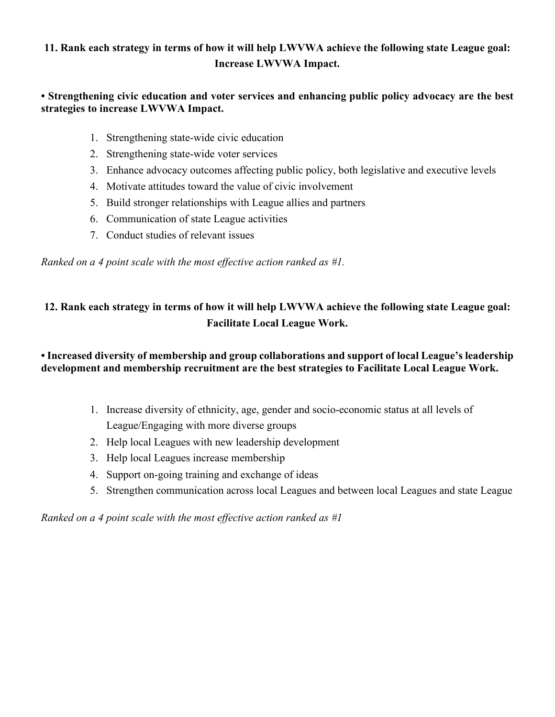## **11. Rank each strategy in terms of how it will help LWVWA achieve the following state League goal: Increase LWVWA Impact.**

### **• Strengthening civic education and voter services and enhancing public policy advocacy are the best strategies to increase LWVWA Impact.**

- 1. Strengthening state-wide civic education
- 2. Strengthening state-wide voter services
- 3. Enhance advocacy outcomes affecting public policy, both legislative and executive levels
- 4. Motivate attitudes toward the value of civic involvement
- 5. Build stronger relationships with League allies and partners
- 6. Communication of state League activities
- 7. Conduct studies of relevant issues

*Ranked on a 4 point scale with the most effective action ranked as #1.*

## **12. Rank each strategy in terms of how it will help LWVWA achieve the following state League goal: Facilitate Local League Work.**

## **• Increased diversity of membership and group collaborations and support of local League's leadership development and membership recruitment are the best strategies to Facilitate Local League Work.**

- 1. Increase diversity of ethnicity, age, gender and socio-economic status at all levels of League/Engaging with more diverse groups
- 2. Help local Leagues with new leadership development
- 3. Help local Leagues increase membership
- 4. Support on-going training and exchange of ideas
- 5. Strengthen communication across local Leagues and between local Leagues and state League

*Ranked on a 4 point scale with the most effective action ranked as #1*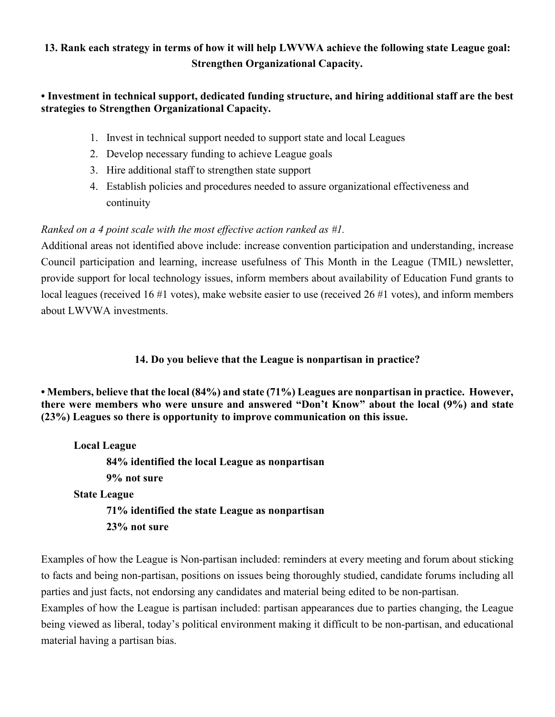## **13. Rank each strategy in terms of how it will help LWVWA achieve the following state League goal: Strengthen Organizational Capacity.**

## **• Investment in technical support, dedicated funding structure, and hiring additional staff are the best strategies to Strengthen Organizational Capacity.**

- 1. Invest in technical support needed to support state and local Leagues
- 2. Develop necessary funding to achieve League goals
- 3. Hire additional staff to strengthen state support
- 4. Establish policies and procedures needed to assure organizational effectiveness and continuity

## *Ranked on a 4 point scale with the most effective action ranked as #1.*

Additional areas not identified above include: increase convention participation and understanding, increase Council participation and learning, increase usefulness of This Month in the League (TMIL) newsletter, provide support for local technology issues, inform members about availability of Education Fund grants to local leagues (received 16 #1 votes), make website easier to use (received 26 #1 votes), and inform members about LWVWA investments.

## **14. Do you believe that the League is nonpartisan in practice?**

**• Members, believe that the local (84%) and state (71%) Leagues are nonpartisan in practice. However, there were members who were unsure and answered "Don't Know" about the local (9%) and state (23%) Leagues so there is opportunity to improve communication on this issue.**

**Local League 84% identified the local League as nonpartisan 9% not sure State League 71% identified the state League as nonpartisan 23% not sure**

Examples of how the League is Non-partisan included: reminders at every meeting and forum about sticking to facts and being non-partisan, positions on issues being thoroughly studied, candidate forums including all parties and just facts, not endorsing any candidates and material being edited to be non-partisan.

Examples of how the League is partisan included: partisan appearances due to parties changing, the League being viewed as liberal, today's political environment making it difficult to be non-partisan, and educational material having a partisan bias.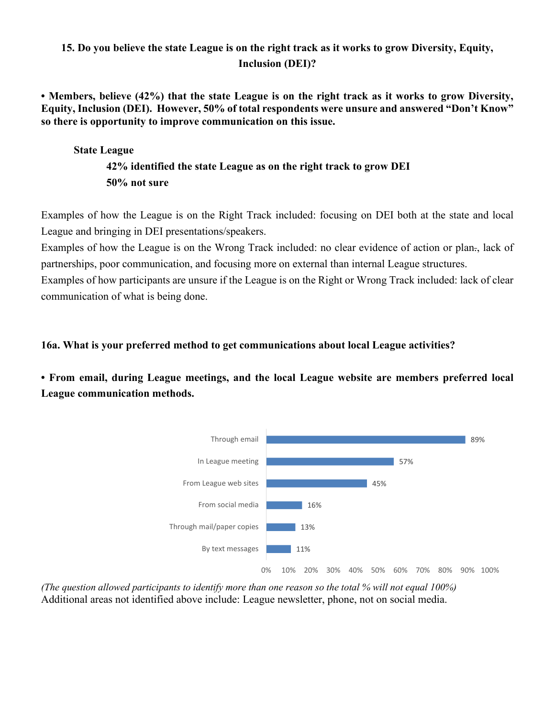## **15. Do you believe the state League is on the right track as it works to grow Diversity, Equity, Inclusion (DEI)?**

**• Members, believe (42%) that the state League is on the right track as it works to grow Diversity, Equity, Inclusion (DEI). However, 50% of total respondents were unsure and answered "Don't Know" so there is opportunity to improve communication on this issue.**

### **State League**

## **42% identified the state League as on the right track to grow DEI 50% not sure**

Examples of how the League is on the Right Track included: focusing on DEI both at the state and local League and bringing in DEI presentations/speakers.

Examples of how the League is on the Wrong Track included: no clear evidence of action or plan., lack of partnerships, poor communication, and focusing more on external than internal League structures.

Examples of how participants are unsure if the League is on the Right or Wrong Track included: lack of clear communication of what is being done.

### **16a. What is your preferred method to get communications about local League activities?**

**• From email, during League meetings, and the local League website are members preferred local League communication methods.**



*(The question allowed participants to identify more than one reason so the total % will not equal 100%)* Additional areas not identified above include: League newsletter, phone, not on social media.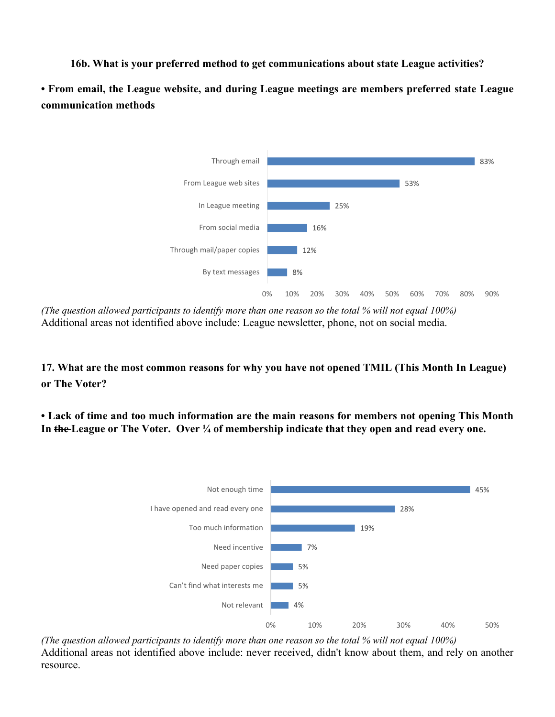**16b. What is your preferred method to get communications about state League activities?**

**• From email, the League website, and during League meetings are members preferred state League communication methods**



*(The question allowed participants to identify more than one reason so the total % will not equal 100%)* Additional areas not identified above include: League newsletter, phone, not on social media.

**17. What are the most common reasons for why you have not opened TMIL (This Month In League) or The Voter?**

**• Lack of time and too much information are the main reasons for members not opening This Month In the League or The Voter. Over ¼ of membership indicate that they open and read every one.**



*(The question allowed participants to identify more than one reason so the total % will not equal 100%)* Additional areas not identified above include: never received, didn't know about them, and rely on another resource.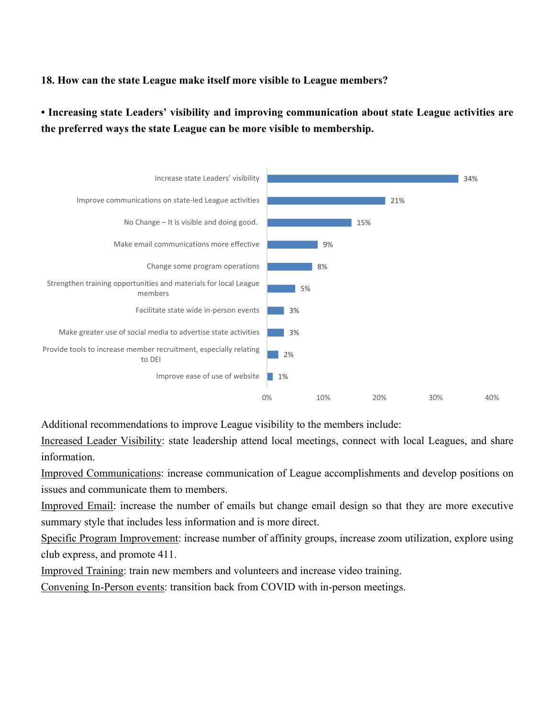#### **18. How can the state League make itself more visible to League members?**

**• Increasing state Leaders' visibility and improving communication about state League activities are the preferred ways the state League can be more visible to membership.**



Additional recommendations to improve League visibility to the members include:

Increased Leader Visibility: state leadership attend local meetings, connect with local Leagues, and share information.

Improved Communications: increase communication of League accomplishments and develop positions on issues and communicate them to members.

Improved Email: increase the number of emails but change email design so that they are more executive summary style that includes less information and is more direct.

Specific Program Improvement: increase number of affinity groups, increase zoom utilization, explore using club express, and promote 411.

Improved Training: train new members and volunteers and increase video training.

Convening In-Person events: transition back from COVID with in-person meetings.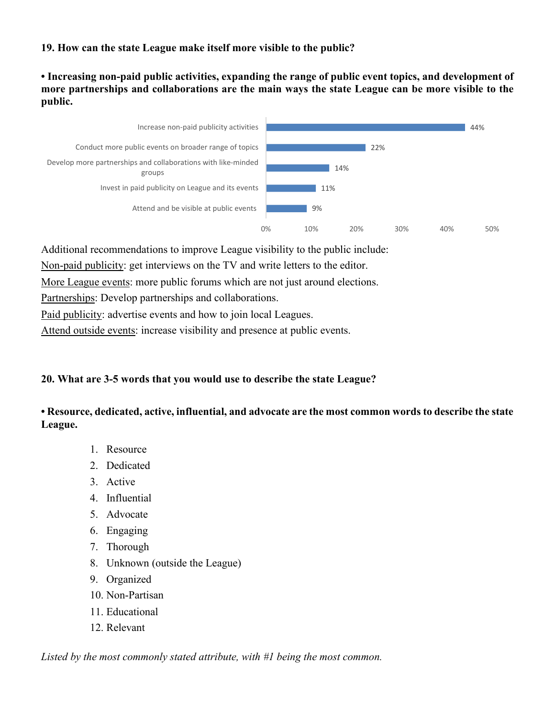## **19. How can the state League make itself more visible to the public?**

**• Increasing non-paid public activities, expanding the range of public event topics, and development of more partnerships and collaborations are the main ways the state League can be more visible to the public.**



Additional recommendations to improve League visibility to the public include:

Non-paid publicity: get interviews on the TV and write letters to the editor.

More League events: more public forums which are not just around elections.

Partnerships: Develop partnerships and collaborations.

Paid publicity: advertise events and how to join local Leagues.

Attend outside events: increase visibility and presence at public events.

## **20. What are 3-5 words that you would use to describe the state League?**

### **• Resource, dedicated, active, influential, and advocate are the most common words to describe the state League.**

- 1. Resource
- 2. Dedicated
- 3. Active
- 4. Influential
- 5. Advocate
- 6. Engaging
- 7. Thorough
- 8. Unknown (outside the League)
- 9. Organized
- 10. Non-Partisan
- 11. Educational
- 12. Relevant

*Listed by the most commonly stated attribute, with #1 being the most common.*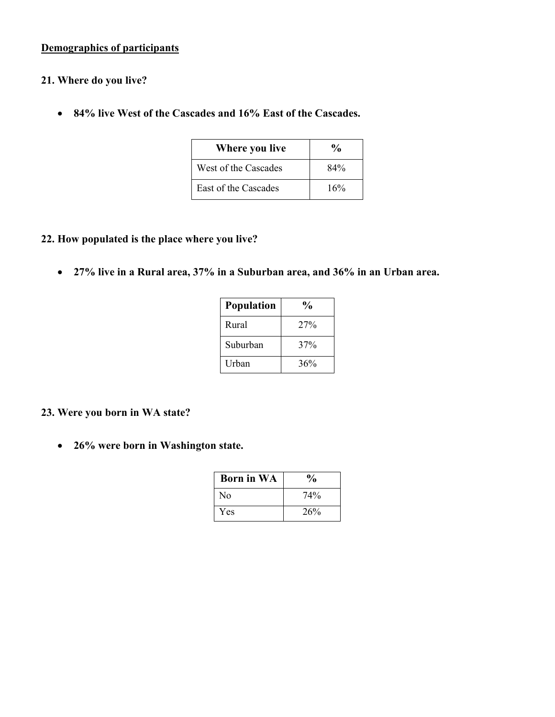## **Demographics of participants**

### **21. Where do you live?**

• **84% live West of the Cascades and 16% East of the Cascades.**

| Where you live       | $\%$ |
|----------------------|------|
| West of the Cascades | 84%  |
| East of the Cascades | 16%  |

### **22. How populated is the place where you live?**

• **27% live in a Rural area, 37% in a Suburban area, and 36% in an Urban area.**

| <b>Population</b> | $\frac{1}{2}$ |
|-------------------|---------------|
| Rural             | 27%           |
| Suburban          | 37%           |
| <b>Urhan</b>      | 36%           |

### **23. Were you born in WA state?**

• **26% were born in Washington state.**

| <b>Born in WA</b> | $\frac{6}{9}$ |
|-------------------|---------------|
| No                | 74%           |
| Yes               | 26%           |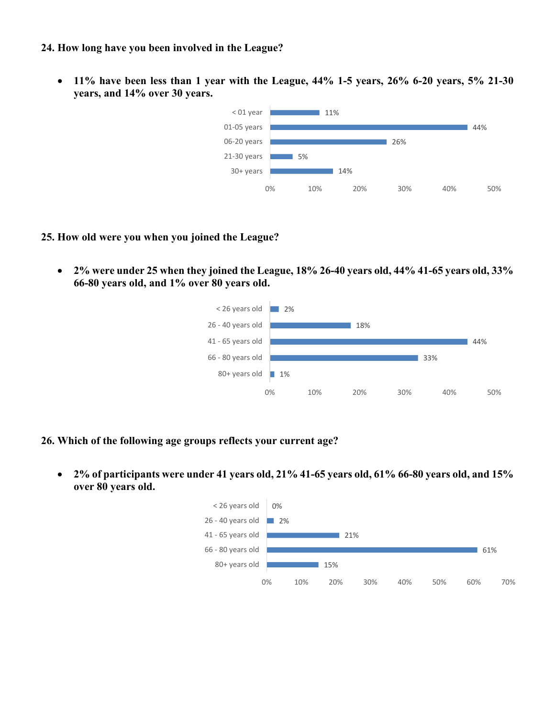#### **24. How long have you been involved in the League?**

• **11% have been less than 1 year with the League, 44% 1-5 years, 26% 6-20 years, 5% 21-30 years, and 14% over 30 years.**



#### **25. How old were you when you joined the League?**

• **2% were under 25 when they joined the League, 18% 26-40 years old, 44% 41-65 years old, 33% 66-80 years old, and 1% over 80 years old.**



- **26. Which of the following age groups reflects your current age?**
	- **2% of participants were under 41 years old, 21% 41-65 years old, 61% 66-80 years old, and 15% over 80 years old.**